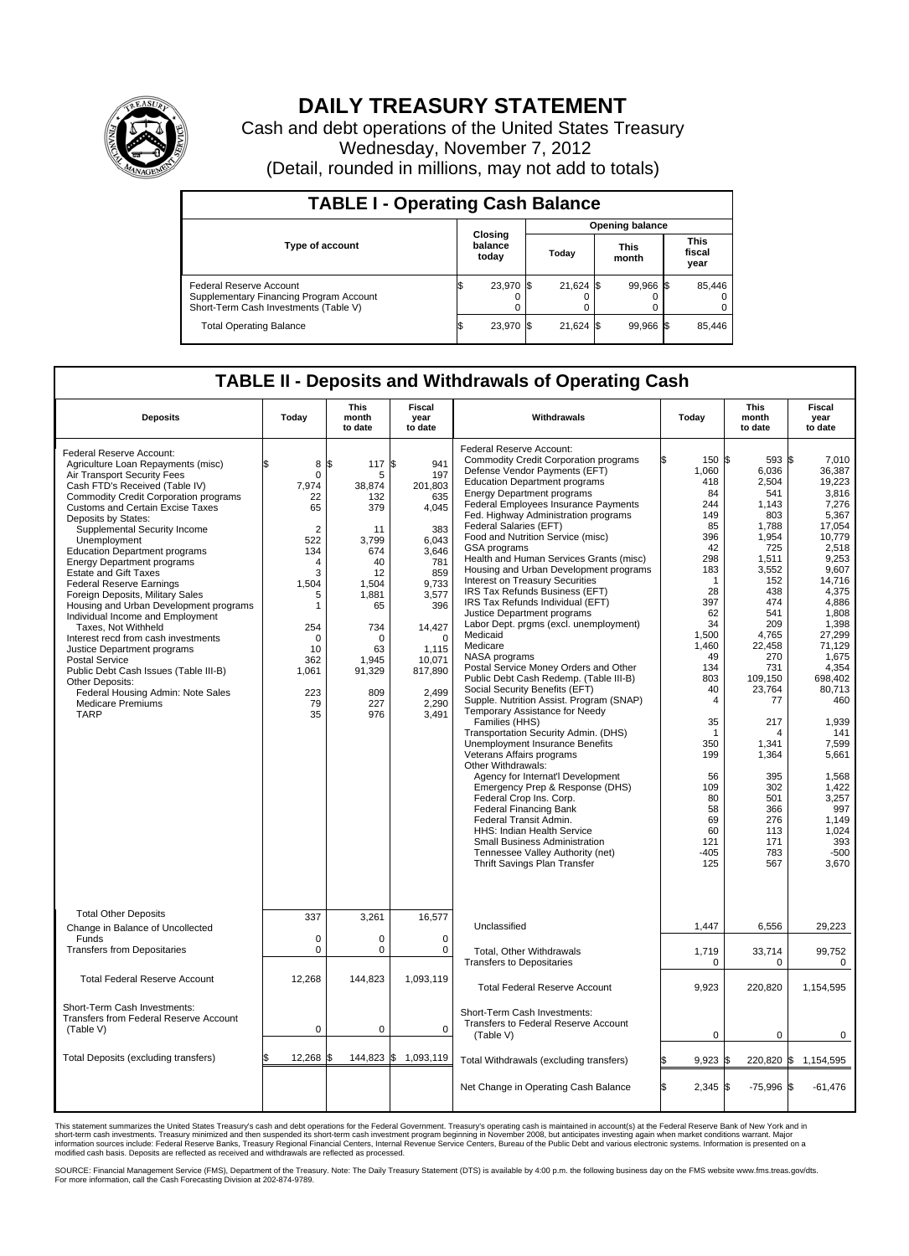

## **DAILY TREASURY STATEMENT**

Cash and debt operations of the United States Treasury Wednesday, November 7, 2012 (Detail, rounded in millions, may not add to totals)

| <b>TABLE I - Operating Cash Balance</b>                                                                     |  |                             |                        |             |  |                      |  |                               |  |  |  |
|-------------------------------------------------------------------------------------------------------------|--|-----------------------------|------------------------|-------------|--|----------------------|--|-------------------------------|--|--|--|
|                                                                                                             |  |                             | <b>Opening balance</b> |             |  |                      |  |                               |  |  |  |
| <b>Type of account</b>                                                                                      |  | Closing<br>balance<br>today |                        | Today       |  | <b>This</b><br>month |  | <b>This</b><br>fiscal<br>year |  |  |  |
| Federal Reserve Account<br>Supplementary Financing Program Account<br>Short-Term Cash Investments (Table V) |  | 23,970 \$                   |                        | $21,624$ \$ |  | 99.966 \$<br>0       |  | 85,446<br>$^{(1)}$<br>0       |  |  |  |
| <b>Total Operating Balance</b>                                                                              |  | 23,970                      |                        | 21.624 \$   |  | 99,966 \$            |  | 85,446                        |  |  |  |

## **TABLE II - Deposits and Withdrawals of Operating Cash**

| <b>Deposits</b>                                                                                                                                                                                                                                                                                                                                                                                                                                                                                                                                                                                                                                                                                                                                                                                                                       | Todav                                                                                                                                                                           | <b>This</b><br>month<br>to date                                                                                                                                       | Fiscal<br>year<br>to date                                                                                                                                                               | Withdrawals                                                                                                                                                                                                                                                                                                                                                                                                                                                                                                                                                                                                                                                                                                                                                                                                                                                                                                                                                                                                                                                                                                                                                                                                                                                                                                                                           | Today                                                                                                                                                                                                                                                                    | <b>This</b><br>month<br>to date                                                                                                                                                                                                                                                        | <b>Fiscal</b><br>year<br>to date                                                                                                                                                                                                                                                                                                    |  |  |  |  |
|---------------------------------------------------------------------------------------------------------------------------------------------------------------------------------------------------------------------------------------------------------------------------------------------------------------------------------------------------------------------------------------------------------------------------------------------------------------------------------------------------------------------------------------------------------------------------------------------------------------------------------------------------------------------------------------------------------------------------------------------------------------------------------------------------------------------------------------|---------------------------------------------------------------------------------------------------------------------------------------------------------------------------------|-----------------------------------------------------------------------------------------------------------------------------------------------------------------------|-----------------------------------------------------------------------------------------------------------------------------------------------------------------------------------------|-------------------------------------------------------------------------------------------------------------------------------------------------------------------------------------------------------------------------------------------------------------------------------------------------------------------------------------------------------------------------------------------------------------------------------------------------------------------------------------------------------------------------------------------------------------------------------------------------------------------------------------------------------------------------------------------------------------------------------------------------------------------------------------------------------------------------------------------------------------------------------------------------------------------------------------------------------------------------------------------------------------------------------------------------------------------------------------------------------------------------------------------------------------------------------------------------------------------------------------------------------------------------------------------------------------------------------------------------------|--------------------------------------------------------------------------------------------------------------------------------------------------------------------------------------------------------------------------------------------------------------------------|----------------------------------------------------------------------------------------------------------------------------------------------------------------------------------------------------------------------------------------------------------------------------------------|-------------------------------------------------------------------------------------------------------------------------------------------------------------------------------------------------------------------------------------------------------------------------------------------------------------------------------------|--|--|--|--|
| Federal Reserve Account:<br>Agriculture Loan Repayments (misc)<br>Air Transport Security Fees<br>Cash FTD's Received (Table IV)<br><b>Commodity Credit Corporation programs</b><br><b>Customs and Certain Excise Taxes</b><br>Deposits by States:<br>Supplemental Security Income<br>Unemployment<br><b>Education Department programs</b><br><b>Energy Department programs</b><br><b>Estate and Gift Taxes</b><br><b>Federal Reserve Earnings</b><br>Foreign Deposits, Military Sales<br>Housing and Urban Development programs<br>Individual Income and Employment<br>Taxes, Not Withheld<br>Interest recd from cash investments<br>Justice Department programs<br><b>Postal Service</b><br>Public Debt Cash Issues (Table III-B)<br>Other Deposits:<br>Federal Housing Admin: Note Sales<br><b>Medicare Premiums</b><br><b>TARP</b> | \$<br>8<br>$\Omega$<br>7,974<br>22<br>65<br>$\overline{2}$<br>522<br>134<br>4<br>3<br>1.504<br>5<br>$\mathbf{1}$<br>254<br>$\mathbf 0$<br>10<br>362<br>1,061<br>223<br>79<br>35 | l\$<br>117 \$<br>5<br>38,874<br>132<br>379<br>11<br>3.799<br>674<br>40<br>12<br>1,504<br>1,881<br>65<br>734<br>$\Omega$<br>63<br>1,945<br>91,329<br>809<br>227<br>976 | 941<br>197<br>201,803<br>635<br>4,045<br>383<br>6,043<br>3.646<br>781<br>859<br>9,733<br>3,577<br>396<br>14,427<br>$\mathbf 0$<br>1,115<br>10,071<br>817,890<br>2.499<br>2,290<br>3,491 | <b>Federal Reserve Account:</b><br><b>Commodity Credit Corporation programs</b><br>Defense Vendor Payments (EFT)<br><b>Education Department programs</b><br><b>Energy Department programs</b><br>Federal Employees Insurance Payments<br>Fed. Highway Administration programs<br>Federal Salaries (EFT)<br>Food and Nutrition Service (misc)<br>GSA programs<br>Health and Human Services Grants (misc)<br>Housing and Urban Development programs<br><b>Interest on Treasury Securities</b><br>IRS Tax Refunds Business (EFT)<br>IRS Tax Refunds Individual (EFT)<br>Justice Department programs<br>Labor Dept. prgms (excl. unemployment)<br>Medicaid<br>Medicare<br>NASA programs<br>Postal Service Money Orders and Other<br>Public Debt Cash Redemp. (Table III-B)<br>Social Security Benefits (EFT)<br>Supple. Nutrition Assist. Program (SNAP)<br>Temporary Assistance for Needy<br>Families (HHS)<br>Transportation Security Admin. (DHS)<br><b>Unemployment Insurance Benefits</b><br>Veterans Affairs programs<br>Other Withdrawals:<br>Agency for Internat'l Development<br>Emergency Prep & Response (DHS)<br>Federal Crop Ins. Corp.<br><b>Federal Financing Bank</b><br>Federal Transit Admin.<br><b>HHS: Indian Health Service</b><br>Small Business Administration<br>Tennessee Valley Authority (net)<br>Thrift Savings Plan Transfer | 150 \$<br>1,060<br>418<br>84<br>244<br>149<br>85<br>396<br>42<br>298<br>183<br>$\mathbf{1}$<br>28<br>397<br>62<br>34<br>1.500<br>1,460<br>49<br>134<br>803<br>40<br>$\overline{4}$<br>35<br>1<br>350<br>199<br>56<br>109<br>80<br>58<br>69<br>60<br>121<br>$-405$<br>125 | 593 \$<br>6,036<br>2,504<br>541<br>1,143<br>803<br>1,788<br>1,954<br>725<br>1.511<br>3,552<br>152<br>438<br>474<br>541<br>209<br>4.765<br>22,458<br>270<br>731<br>109,150<br>23,764<br>77<br>217<br>4<br>1,341<br>1,364<br>395<br>302<br>501<br>366<br>276<br>113<br>171<br>783<br>567 | 7,010<br>36,387<br>19.223<br>3,816<br>7,276<br>5,367<br>17,054<br>10,779<br>2,518<br>9.253<br>9,607<br>14.716<br>4,375<br>4,886<br>1,808<br>1.398<br>27.299<br>71,129<br>1,675<br>4,354<br>698,402<br>80,713<br>460<br>1,939<br>141<br>7,599<br>5,661<br>1.568<br>1,422<br>3,257<br>997<br>1,149<br>1,024<br>393<br>$-500$<br>3,670 |  |  |  |  |
| <b>Total Other Deposits</b><br>Change in Balance of Uncollected                                                                                                                                                                                                                                                                                                                                                                                                                                                                                                                                                                                                                                                                                                                                                                       | 337                                                                                                                                                                             | 3,261                                                                                                                                                                 | 16,577                                                                                                                                                                                  | Unclassified                                                                                                                                                                                                                                                                                                                                                                                                                                                                                                                                                                                                                                                                                                                                                                                                                                                                                                                                                                                                                                                                                                                                                                                                                                                                                                                                          | 1,447                                                                                                                                                                                                                                                                    | 6,556                                                                                                                                                                                                                                                                                  | 29,223                                                                                                                                                                                                                                                                                                                              |  |  |  |  |
| Funds<br><b>Transfers from Depositaries</b>                                                                                                                                                                                                                                                                                                                                                                                                                                                                                                                                                                                                                                                                                                                                                                                           | $\mathbf 0$<br>0                                                                                                                                                                | $\mathbf 0$<br>$\mathbf 0$                                                                                                                                            | $\mathbf 0$<br>$\mathbf 0$                                                                                                                                                              | <b>Total. Other Withdrawals</b><br><b>Transfers to Depositaries</b>                                                                                                                                                                                                                                                                                                                                                                                                                                                                                                                                                                                                                                                                                                                                                                                                                                                                                                                                                                                                                                                                                                                                                                                                                                                                                   | 1,719<br>0                                                                                                                                                                                                                                                               | 33,714<br>0                                                                                                                                                                                                                                                                            | 99.752<br>0                                                                                                                                                                                                                                                                                                                         |  |  |  |  |
| <b>Total Federal Reserve Account</b>                                                                                                                                                                                                                                                                                                                                                                                                                                                                                                                                                                                                                                                                                                                                                                                                  | 12,268                                                                                                                                                                          | 144,823                                                                                                                                                               | 1,093,119                                                                                                                                                                               | <b>Total Federal Reserve Account</b>                                                                                                                                                                                                                                                                                                                                                                                                                                                                                                                                                                                                                                                                                                                                                                                                                                                                                                                                                                                                                                                                                                                                                                                                                                                                                                                  | 9,923                                                                                                                                                                                                                                                                    | 220,820                                                                                                                                                                                                                                                                                | 1,154,595                                                                                                                                                                                                                                                                                                                           |  |  |  |  |
| Short-Term Cash Investments:<br><b>Transfers from Federal Reserve Account</b><br>(Table V)                                                                                                                                                                                                                                                                                                                                                                                                                                                                                                                                                                                                                                                                                                                                            | 0                                                                                                                                                                               | $\mathbf 0$                                                                                                                                                           | $\mathbf 0$                                                                                                                                                                             | Short-Term Cash Investments:<br>Transfers to Federal Reserve Account<br>(Table V)                                                                                                                                                                                                                                                                                                                                                                                                                                                                                                                                                                                                                                                                                                                                                                                                                                                                                                                                                                                                                                                                                                                                                                                                                                                                     | $\mathbf 0$                                                                                                                                                                                                                                                              | 0                                                                                                                                                                                                                                                                                      | 0                                                                                                                                                                                                                                                                                                                                   |  |  |  |  |
| Total Deposits (excluding transfers)                                                                                                                                                                                                                                                                                                                                                                                                                                                                                                                                                                                                                                                                                                                                                                                                  | 12,268 \$                                                                                                                                                                       | 144,823 \$                                                                                                                                                            | 1,093,119                                                                                                                                                                               | Total Withdrawals (excluding transfers)                                                                                                                                                                                                                                                                                                                                                                                                                                                                                                                                                                                                                                                                                                                                                                                                                                                                                                                                                                                                                                                                                                                                                                                                                                                                                                               | $9,923$ \$                                                                                                                                                                                                                                                               | 220,820 \$                                                                                                                                                                                                                                                                             | 1,154,595                                                                                                                                                                                                                                                                                                                           |  |  |  |  |
|                                                                                                                                                                                                                                                                                                                                                                                                                                                                                                                                                                                                                                                                                                                                                                                                                                       |                                                                                                                                                                                 |                                                                                                                                                                       |                                                                                                                                                                                         | Net Change in Operating Cash Balance                                                                                                                                                                                                                                                                                                                                                                                                                                                                                                                                                                                                                                                                                                                                                                                                                                                                                                                                                                                                                                                                                                                                                                                                                                                                                                                  | l\$<br>$2,345$ \$                                                                                                                                                                                                                                                        | $-75,996$ \$                                                                                                                                                                                                                                                                           | $-61,476$                                                                                                                                                                                                                                                                                                                           |  |  |  |  |

This statement summarizes the United States Treasury's cash and debt operations for the Federal Government. Treasury's operating cash is maintained in account(s) at the Federal Reserve Bank of New York and in<br>short-term ca

SOURCE: Financial Management Service (FMS), Department of the Treasury. Note: The Daily Treasury Statement (DTS) is available by 4:00 p.m. the following business day on the FMS website www.fms.treas.gov/dts.<br>For more infor